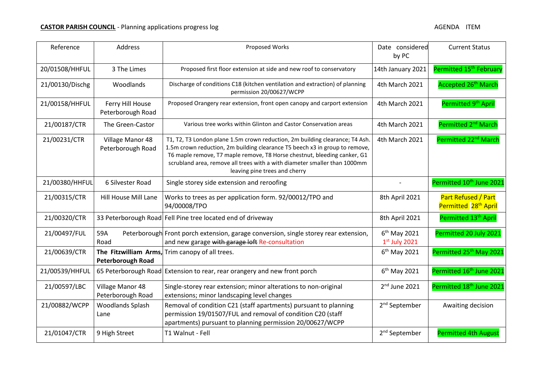| Reference       | Address                               | Proposed Works                                                                                                                                                                                                                                                                                                                                        | Date considered<br>by PC          | <b>Current Status</b>                                   |
|-----------------|---------------------------------------|-------------------------------------------------------------------------------------------------------------------------------------------------------------------------------------------------------------------------------------------------------------------------------------------------------------------------------------------------------|-----------------------------------|---------------------------------------------------------|
| 20/01508/HHFUL  | 3 The Limes                           | Proposed first floor extension at side and new roof to conservatory                                                                                                                                                                                                                                                                                   | 14th January 2021                 | Permitted 15 <sup>th</sup> February                     |
| 21/00130/Dischg | Woodlands                             | Discharge of conditions C18 (kitchen ventilation and extraction) of planning<br>permission 20/00627/WCPP                                                                                                                                                                                                                                              | 4th March 2021                    | Accepted 26 <sup>th</sup> March                         |
| 21/00158/HHFUL  | Ferry Hill House<br>Peterborough Road | Proposed Orangery rear extension, front open canopy and carport extension                                                                                                                                                                                                                                                                             | 4th March 2021                    | Permitted 9 <sup>th</sup> April                         |
| 21/00187/CTR    | The Green-Castor                      | Various tree works within Glinton and Castor Conservation areas                                                                                                                                                                                                                                                                                       | 4th March 2021                    | Permitted 2 <sup>nd</sup> March                         |
| 21/00231/CTR    | Village Manor 48<br>Peterborough Road | T1, T2, T3 London plane 1.5m crown reduction, 2m building clearance; T4 Ash.<br>1.5m crown reduction, 2m building clearance T5 beech x3 in group to remove,<br>T6 maple remove, T7 maple remove, T8 Horse chestnut, bleeding canker, G1<br>scrubland area, remove all trees with a with diameter smaller than 1000mm<br>leaving pine trees and cherry | 4th March 2021                    | Permitted 22 <sup>nd</sup> March                        |
| 21/00380/HHFUL  | 6 Silvester Road                      | Single storey side extension and reroofing                                                                                                                                                                                                                                                                                                            |                                   | Permitted 10 <sup>th</sup> June 2021                    |
| 21/00315/CTR    | Hill House Mill Lane                  | Works to trees as per application form. 92/00012/TPO and<br>94/00008/TPO                                                                                                                                                                                                                                                                              | 8th April 2021                    | Part Refused / Part<br>Permitted 28 <sup>th</sup> April |
| 21/00320/CTR    |                                       | 33 Peterborough Road Fell Pine tree located end of driveway                                                                                                                                                                                                                                                                                           | 8th April 2021                    | Permitted 13 <sup>th</sup> April                        |
| 21/00497/FUL    | 59A<br>Road                           | Peterborough Front porch extension, garage conversion, single storey rear extension,<br>and new garage with garage loft Re-consultation                                                                                                                                                                                                               | $6th$ May 2021<br>$1st$ July 2021 | Permitted 20 July 2021                                  |
| 21/00639/CTR    | <b>Peterborough Road</b>              | The Fitzwilliam Arms, Trim canopy of all trees.                                                                                                                                                                                                                                                                                                       | 6 <sup>th</sup> May 2021          | Permitted 25 <sup>th</sup> May 2021                     |
| 21/00539/HHFUL  |                                       | 65 Peterborough Road Extension to rear, rear orangery and new front porch                                                                                                                                                                                                                                                                             | $6th$ May 2021                    | Permitted 16 <sup>th</sup> June 2021                    |
| 21/00597/LBC    | Village Manor 48<br>Peterborough Road | Single-storey rear extension; minor alterations to non-original<br>extensions; minor landscaping level changes                                                                                                                                                                                                                                        | 2 <sup>nd</sup> June 2021         | Permitted 18 <sup>th</sup> June 2021                    |
| 21/00882/WCPP   | Woodlands Splash<br>Lane              | Removal of condition C21 (staff apartments) pursuant to planning<br>permission 19/01507/FUL and removal of condition C20 (staff<br>apartments) pursuant to planning permission 20/00627/WCPP                                                                                                                                                          | 2 <sup>nd</sup> September         | Awaiting decision                                       |
| 21/01047/CTR    | 9 High Street                         | T1 Walnut - Fell                                                                                                                                                                                                                                                                                                                                      | 2 <sup>nd</sup> September         | <b>Permitted 4th August</b>                             |